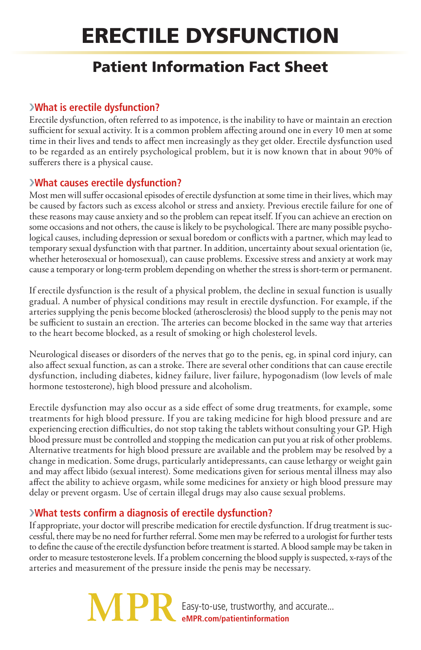# Erectile Dysfunction

## Patient Information Fact Sheet

### ›**What is erectile dysfunction?**

Erectile dysfunction, often referred to as impotence, is the inability to have or maintain an erection sufficient for sexual activity. It is a common problem affecting around one in every 10 men at some time in their lives and tends to affect men increasingly as they get older. Erectile dysfunction used to be regarded as an entirely psychological problem, but it is now known that in about 90% of sufferers there is a physical cause.

#### ›**What causes erectile dysfunction?**

Most men will suffer occasional episodes of erectile dysfunction at some time in their lives, which may be caused by factors such as excess alcohol or stress and anxiety. Previous erectile failure for one of these reasons may cause anxiety and so the problem can repeat itself. If you can achieve an erection on some occasions and not others, the cause is likely to be psychological. There are many possible psychological causes, including depression or sexual boredom or conflicts with a partner, which may lead to temporary sexual dysfunction with that partner. In addition, uncertainty about sexual orientation (ie, whether heterosexual or homosexual), can cause problems. Excessive stress and anxiety at work may cause a temporary or long-term problem depending on whether the stress is short-term or permanent.

If erectile dysfunction is the result of a physical problem, the decline in sexual function is usually gradual. A number of physical conditions may result in erectile dysfunction. For example, if the arteries supplying the penis become blocked (atherosclerosis) the blood supply to the penis may not be sufficient to sustain an erection. The arteries can become blocked in the same way that arteries to the heart become blocked, as a result of smoking or high cholesterol levels.

Neurological diseases or disorders of the nerves that go to the penis, eg, in spinal cord injury, can also affect sexual function, as can a stroke. There are several other conditions that can cause erectile dysfunction, including diabetes, kidney failure, liver failure, hypogonadism (low levels of male hormone testosterone), high blood pressure and alcoholism.

Erectile dysfunction may also occur as a side effect of some drug treatments, for example, some treatments for high blood pressure. If you are taking medicine for high blood pressure and are experiencing erection difficulties, do not stop taking the tablets without consulting your GP. High blood pressure must be controlled and stopping the medication can put you at risk of other problems. Alternative treatments for high blood pressure are available and the problem may be resolved by a change in medication. Some drugs, particularly antidepressants, can cause lethargy or weight gain and may affect libido (sexual interest). Some medications given for serious mental illness may also affect the ability to achieve orgasm, while some medicines for anxiety or high blood pressure may delay or prevent orgasm. Use of certain illegal drugs may also cause sexual problems.

#### ›**What tests confirm a diagnosis of erectile dysfunction?**

If appropriate, your doctor will prescribe medication for erectile dysfunction. If drug treatment is successful, there may be no need for further referral. Some men may be referred to a urologist for further tests to define the cause of the erectile dysfunction before treatment is started. A blood sample may be taken in order to measure testosterone levels. If a problem concerning the blood supply is suspected, x-rays of the arteries and measurement of the pressure inside the penis may be necessary.

> Easy-to-use, trustworthy, and accurate... **eMPR.com/patientinformation**